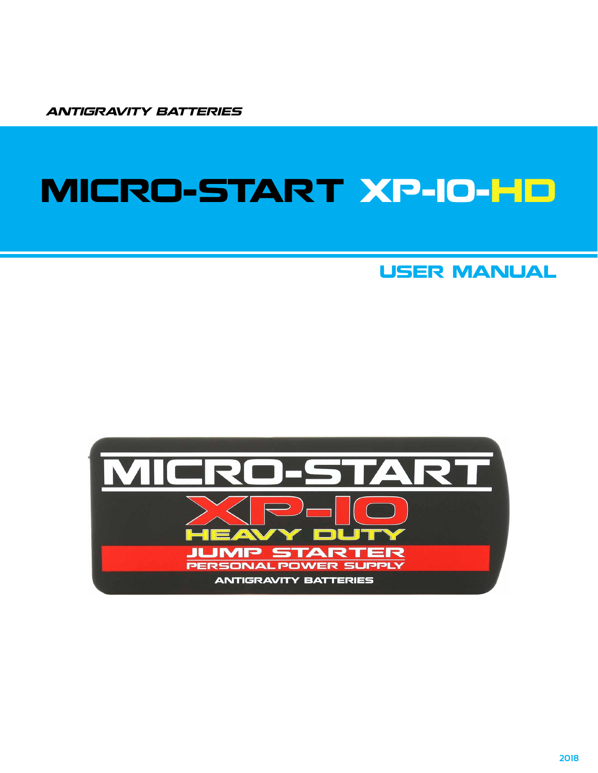ANTIGRAVITY BATTERIES

# MICRO-START XP-10-HD

### USER MANUAL

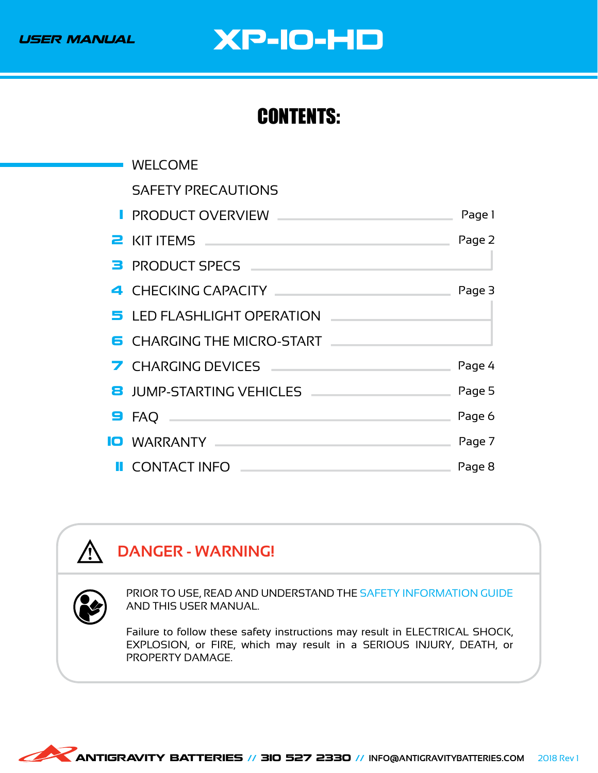# USER MANUAL XP-10-HD

## CONTENTS:

| <b>WELCOME</b>                                                                                                                                                                                                                 |        |
|--------------------------------------------------------------------------------------------------------------------------------------------------------------------------------------------------------------------------------|--------|
| <b>SAFETY PRECAUTIONS</b>                                                                                                                                                                                                      |        |
|                                                                                                                                                                                                                                |        |
| <b>PRODUCT OVERVIEW __</b>                                                                                                                                                                                                     | Page 1 |
| <b>2</b> KIT ITEMS <b>CONSTITUTION</b>                                                                                                                                                                                         | Page 2 |
| <b>B</b> PRODUCT SPECS                                                                                                                                                                                                         |        |
| 4 CHECKING CAPACITY And the contract of the contract of the contract of the contract of the contract of the contract of the contract of the contract of the contract of the contract of the contract of the contract of the co | Page 3 |
| 5 LED FLASHLIGHT OPERATION                                                                                                                                                                                                     |        |
| <b>6</b> CHARGING THE MICRO-START                                                                                                                                                                                              |        |
| 7 CHARGING DEVICES                                                                                                                                                                                                             | Page 4 |
| 8 JUMP-STARTING VEHICLES                                                                                                                                                                                                       | Page 5 |
| $\blacksquare$ FAQ $\blacksquare$                                                                                                                                                                                              | Page 6 |
| <b>IO</b> WARRANTY AND THE MARKEN WARRANTY                                                                                                                                                                                     | Page 7 |
| <b>II</b> CONTACT INFO                                                                                                                                                                                                         | Page 8 |

### **DANGER - WARNING!**



**/j** 

PRIOR TO USE, READ AND UNDERSTAND THE SAFETY INFORMATION GUIDE AND THIS USER MANUAL.

Failure to follow these safety instructions may result in ELECTRICAL SHOCK, EXPLOSION, or FIRE, which may result in a SERIOUS INJURY, DEATH, or PROPERTY DAMAGE.

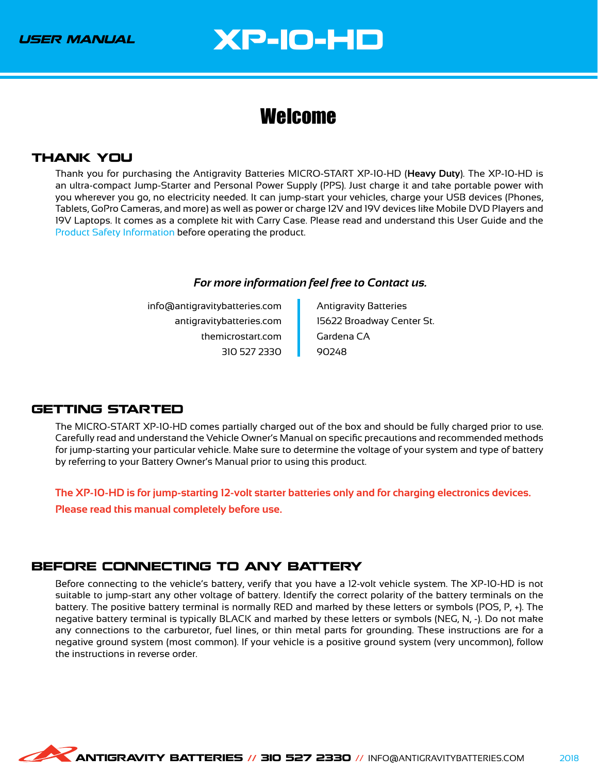### <span id="page-2-0"></span>Welcome

#### THANK YOU

Thank you for purchasing the Antigravity Batteries MICRO-START XP-10-HD (**Heavy Duty**). The XP-10-HD is an ultra-compact Jump-Starter and Personal Power Supply (PPS). Just charge it and take portable power with you wherever you go, no electricity needed. It can jump-start your vehicles, charge your USB devices (Phones, Tablets, GoPro Cameras, and more) as well as power or charge 12V and 19V devices like Mobile DVD Players and 19V Laptops. It comes as a complete kit with Carry Case. Please read and understand this User Guide and the Product Safety Information before operating the product.

#### *For more information feel free to Contact us.*

info@antigravitybatteries.com antigravitybatteries.com themicrostart.com 310 527 2330

Antigravity Batteries 15622 Broadway Center St. Gardena CA 90248

#### GETTING STARTED

The MICRO-START XP-10-HD comes partially charged out of the box and should be fully charged prior to use. Carefully read and understand the Vehicle Owner's Manual on specific precautions and recommended methods for jump-starting your particular vehicle. Make sure to determine the voltage of your system and type of battery by referring to your Battery Owner's Manual prior to using this product.

**The XP-10-HD is for jump-starting 12-volt starter batteries only and for charging electronics devices.**

**Please read this manual completely before use.**

#### BEFORE CONNECTING TO ANY BATTERY

Before connecting to the vehicle's battery, verify that you have a 12-volt vehicle system. The XP-10-HD is not suitable to jump-start any other voltage of battery. Identify the correct polarity of the battery terminals on the battery. The positive battery terminal is normally RED and marked by these letters or symbols (POS, P, +). The negative battery terminal is typically BLACK and marked by these letters or symbols (NEG, N, -). Do not make any connections to the carburetor, fuel lines, or thin metal parts for grounding. These instructions are for a negative ground system (most common). If your vehicle is a positive ground system (very uncommon), follow the instructions in reverse order.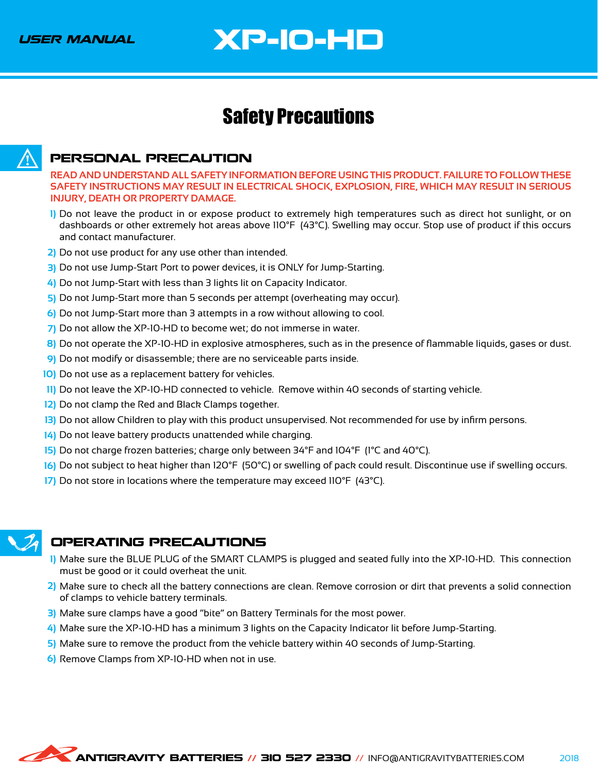# XP-10-HD

### <span id="page-3-0"></span>Safety Precautions



#### PERSONAL PRECAUTION

**READ AND UNDERSTAND ALL SAFETY INFORMATION BEFORE USING THIS PRODUCT. FAILURE TO FOLLOW THESE SAFETY INSTRUCTIONS MAY RESULT IN ELECTRICAL SHOCK, EXPLOSION, FIRE, WHICH MAY RESULT IN SERIOUS INJURY, DEATH OR PROPERTY DAMAGE.**

- Do not leave the product in or expose product to extremely high temperatures such as direct hot sunlight, or on **1)** dashboards or other extremely hot areas above 110°F (43°C). Swelling may occur. Stop use of product if this occurs and contact manufacturer.
- Do not use product for any use other than intended. **2)**
- Do not use Jump-Start Port to power devices, it is ONLY for Jump-Starting. **3)**
- Do not Jump-Start with less than 3 lights lit on Capacity Indicator. **4)**
- 5) Do not Jump-Start more than 5 seconds per attempt (overheating may occur).
- Do not Jump-Start more than 3 attempts in a row without allowing to cool. **6)**
- 7) Do not allow the XP-10-HD to become wet; do not immerse in water.
- Do not operate the XP-10-HD in explosive atmospheres, such as in the presence of flammable liquids, gases or dust. **8)**
- Do not modify or disassemble; there are no serviceable parts inside. **9)**
- 10) Do not use as a replacement battery for vehicles.
- 11) Do not leave the XP-10-HD connected to vehicle. Remove within 40 seconds of starting vehicle.
- 12) Do not clamp the Red and Black Clamps together.
- 13) Do not allow Children to play with this product unsupervised. Not recommended for use by infirm persons.
- Do not leave battery products unattended while charging. **14)**
- 15) Do not charge frozen batteries; charge only between 34°F and 104°F (1°C and 40°C).
- Do not subject to heat higher than 120°F (50°C) or swelling of pack could result. Discontinue use if swelling occurs. **16)**
- 17) Do not store in locations where the temperature may exceed 110°F (43°C).



#### OPERATING PRECAUTIONS

- Make sure the BLUE PLUG of the SMART CLAMPS is plugged and seated fully into the XP-10-HD. This connection **1)** must be good or it could overheat the unit.
- Make sure to check all the battery connections are clean. Remove corrosion or dirt that prevents a solid connection **2)** of clamps to vehicle battery terminals.
- 3) Make sure clamps have a good "bite" on Battery Terminals for the most power.
- Make sure the XP-10-HD has a minimum 3 lights on the Capacity Indicator lit before Jump-Starting. **4)**
- Make sure to remove the product from the vehicle battery within 40 seconds of Jump-Starting. **5)**
- 6) Remove Clamps from XP-10-HD when not in use.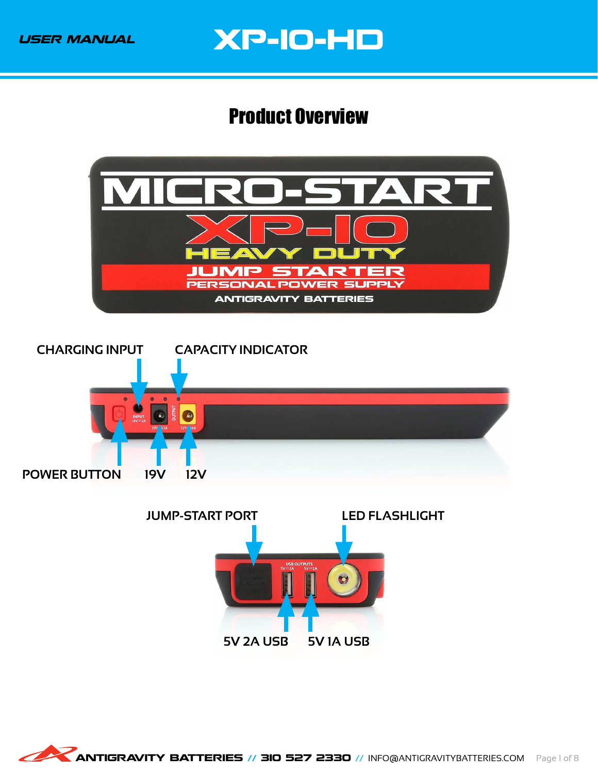### <span id="page-4-0"></span>Product Overview

<span id="page-4-1"></span>





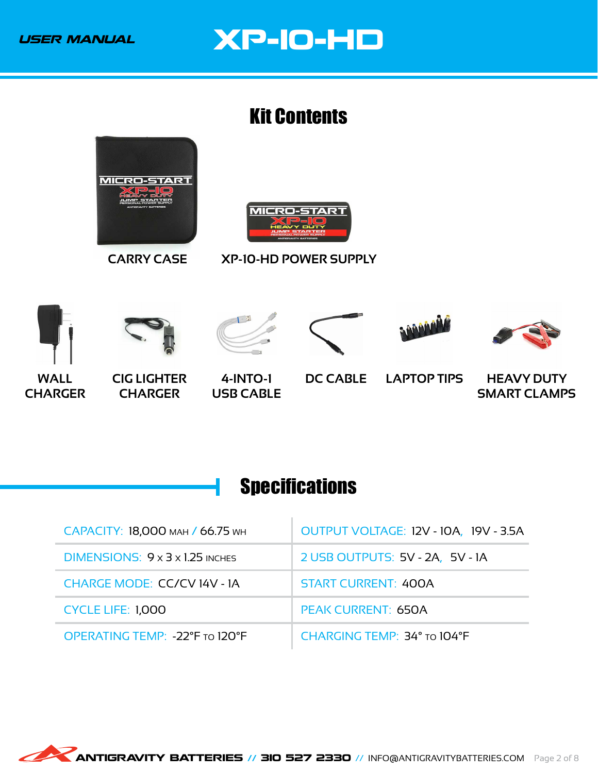### <span id="page-5-0"></span>Kit Contents

<span id="page-5-2"></span>











**CIG LIGHTER CHARGER**

**4-INTO-1 USB CABLE**

**DC CABLE LAPTOP TIPS HEAVY DUTY SMART CLAMPS**

## <span id="page-5-1"></span>**Specifications**

| САРАСІТУ: 18,000 млн / 66.75 мн             | OUTPUT VOLTAGE: 12V - 10A, 19V - 3.5A |  |
|---------------------------------------------|---------------------------------------|--|
| DIMENSIONS: $9 \times 3 \times 1.25$ inches | 2 USB OUTPUTS: 5V - 2A, 5V - 1A       |  |
| <b>CHARGE MODE: CC/CV 14V - 1A</b>          | <b>START CURRENT: 400A</b>            |  |
| <b>CYCLE LIFE: 1,000</b>                    | <b>PEAK CURRENT: 650A</b>             |  |
| OPERATING TEMP: -22°F TO 120°F              | CHARGING TEMP: 34° TO 104°F           |  |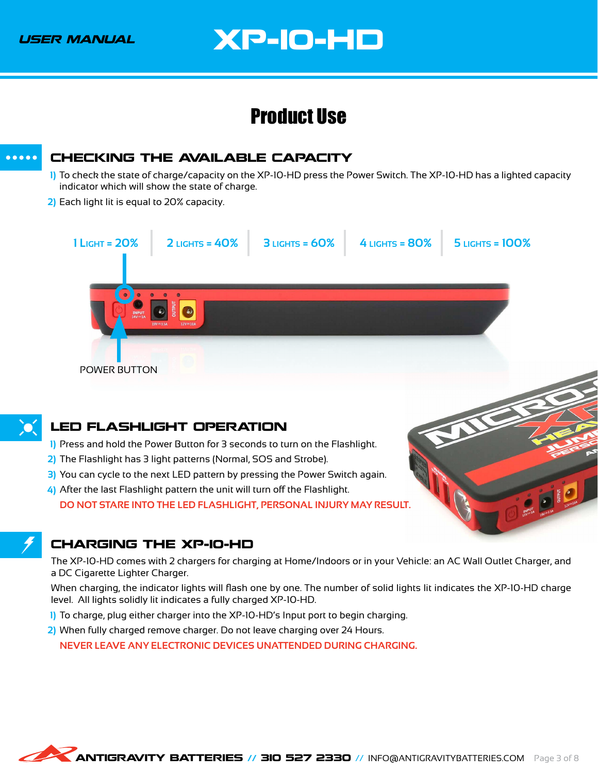### Product Use

<span id="page-6-3"></span><span id="page-6-0"></span>



#### <span id="page-6-1"></span>LED FLASHLIGHT OPERATION

- Press and hold the Power Button for 3 seconds to turn on the Flashlight. **1)**
- 2) The Flashlight has 3 light patterns (Normal, SOS and Strobe).
	- 3) You can cycle to the next LED pattern by pressing the Power Switch again.
- After the last Flashlight pattern the unit will turn off the Flashlight. **4) DO NOT STARE INTO THE LED FLASHLIGHT, PERSONAL INJURY MAY RESULT.**

#### <span id="page-6-2"></span>CHARGING THE XP-10-HD

The XP-10-HD comes with 2 chargers for charging at Home/Indoors or in your Vehicle: an AC Wall Outlet Charger, and a DC Cigarette Lighter Charger.

REAL PROPERTY.

When charging, the indicator lights will flash one by one. The number of solid lights lit indicates the XP-10-HD charge level. All lights solidly lit indicates a fully charged XP-10-HD.

- To charge, plug either charger into the XP-10-HD's Input port to begin charging. **1)**
- When fully charged remove charger. Do not leave charging over 24 Hours. **2)**

**NEVER LEAVE ANY ELECTRONIC DEVICES UNATTENDED DURING CHARGING.**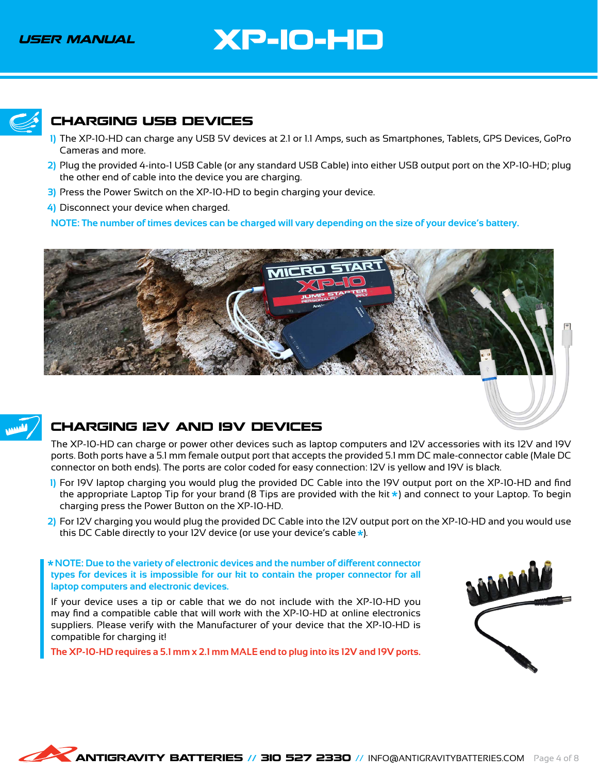# XP-10-HD

<span id="page-7-1"></span>

#### <span id="page-7-0"></span>CHARGING USB DEVICES

- The XP-10-HD can charge any USB 5V devices at 2.1 or 1.1 Amps, such as Smartphones, Tablets, GPS Devices, GoPro **1)** Cameras and more.
- Plug the provided 4-into-1 USB Cable (or any standard USB Cable) into either USB output port on the XP-10-HD; plug **2)** the other end of cable into the device you are charging.
	- Press the Power Switch on the XP-10-HD to begin charging your device. **3)**
	- Disconnect your device when charged. **4)**

**NOTE: The number of times devices can be charged will vary depending on the size of your device's battery.**



#### CHARGING 12V AND 19V DEVICES

The XP-10-HD can charge or power other devices such as laptop computers and 12V accessories with its 12V and 19V ports. Both ports have a 5.1 mm female output port that accepts the provided 5.1 mm DC male-connector cable (Male DC connector on both ends). The ports are color coded for easy connection: 12V is yellow and 19V is black.

- For 19V laptop charging you would plug the provided DC Cable into the 19V output port on the XP-10-HD and find **1)** the appropriate Laptop Tip for your brand (8 Tips are provided with the kit  $\star$ ) and connect to your Laptop. To begin charging press the Power Button on the XP-10-HD.
- For 12V charging you would plug the provided DC Cable into the 12V output port on the XP-10-HD and you would use **2)**this DC Cable directly to your 12V device (or use your device's cable  $\star$ ).

 **NOTE: Due to the variety of electronic devices and the number of different connector types for devices it is impossible for our kit to contain the proper connector for all laptop computers and electronic devices.**

If your device uses a tip or cable that we do not include with the XP-10-HD you may find a compatible cable that will work with the XP-10-HD at online electronics suppliers. Please verify with the Manufacturer of your device that the XP-10-HD is compatible for charging it!

**The XP-10-HD requires a 5.1 mm x 2.1 mm MALE end to plug into its 12V and 19V ports.**

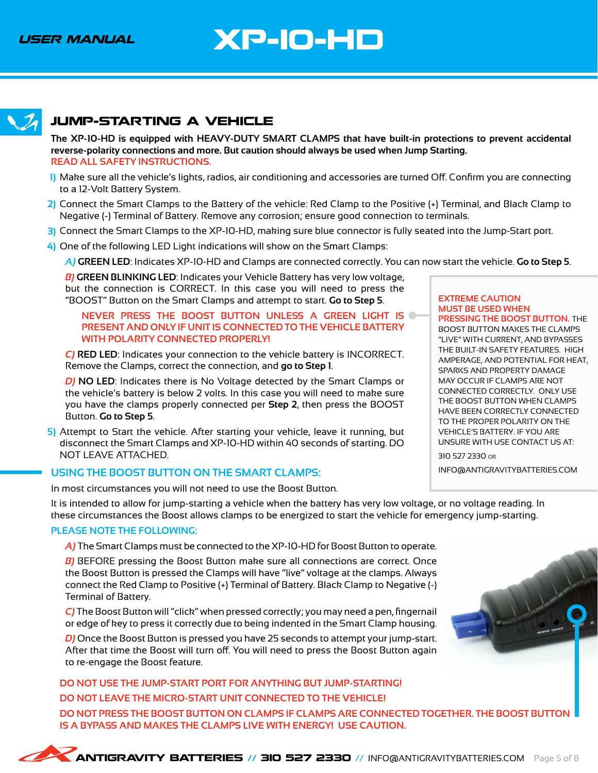<span id="page-8-1"></span>

### <span id="page-8-0"></span>JUMP-STARTING A VEHICLE

**The XP-10-HD is equipped with HEAVY-DUTY SMART CLAMPS that have built-in protections to prevent accidental reverse-polarity connections and more. But caution should always be used when Jump Starting. READ ALL SAFETY INSTRUCTIONS.**

- Make sure all the vehicle's lights, radios, air conditioning and accessories are turned Off. Confirm you are connecting **1)** to a 12-Volt Battery System.
- Connect the Smart Clamps to the Battery of the vehicle: Red Clamp to the Positive (+) Terminal, and Black Clamp to **2)** Negative (-) Terminal of Battery. Remove any corrosion; ensure good connection to terminals.
- Connect the Smart Clamps to the XP-10-HD, making sure blue connector is fully seated into the Jump-Start port. **3)**
- One of the following LED Light indications will show on the Smart Clamps: **4)**
	- *A)* **GREEN LED**: Indicates XP-10-HD and Clamps are connected correctly. You can now start the vehicle. **Go to Step 5**.

*B)* **GREEN BLINKING LED**: Indicates your Vehicle Battery has very low voltage, but the connection is CORRECT. In this case you will need to press the "BOOST" Button on the Smart Clamps and attempt to start. **Go to Step 5**.

#### **NEVER PRESS THE BOOST BUTTON UNLESS A GREEN LIGHT IS PRESENT AND ONLY IF UNIT IS CONNECTED TO THE VEHICLE BATTERY WITH POLARITY CONNECTED PROPERLY!**

*C)* **RED LED**: Indicates your connection to the vehicle battery is INCORRECT. Remove the Clamps, correct the connection, and **go to Step 1**.

*D)* **NO LED**: Indicates there is No Voltage detected by the Smart Clamps or the vehicle's battery is below 2 volts. In this case you will need to make sure you have the clamps properly connected per **Step 2**, then press the BOOST Button. **Go to Step 5**.

5) Attempt to Start the vehicle. After starting your vehicle, leave it running, but disconnect the Smart Clamps and XP-10-HD within 40 seconds of starting. DO NOT LEAVE ATTACHED.

#### USING THE BOOST BUTTON ON THE SMART CLAMPS: **INFO@ANTIGRAVITYBATTERIES.COM**

In most circumstances you will not need to use the Boost Button.

It is intended to allow for jump-starting a vehicle when the battery has very low voltage, or no voltage reading. In these circumstances the Boost allows clamps to be energized to start the vehicle for emergency jump-starting.

#### **PLEASE NOTE THE FOLLOWING:**

*A)* The Smart Clamps must be connected to the XP-10-HD for Boost Button to operate.

*B)* BEFORE pressing the Boost Button make sure all connections are correct. Once the Boost Button is pressed the Clamps will have "live" voltage at the clamps. Always connect the Red Clamp to Positive (+) Terminal of Battery. Black Clamp to Negative (-) Terminal of Battery.

*C)* The Boost Button will "click" when pressed correctly; you may need a pen, fingernail or edge of key to press it correctly due to being indented in the Smart Clamp housing.

*D)* Once the Boost Button is pressed you have 25 seconds to attempt your jump-start. After that time the Boost will turn off. You will need to press the Boost Button again to re-engage the Boost feature.

**DO NOT USE THE JUMP-START PORT FOR ANYTHING BUT JUMP-STARTING! DO NOT LEAVE THE MICRO-START UNIT CONNECTED TO THE VEHICLE! DO NOT PRESS THE BOOST BUTTON ON CLAMPS IF CLAMPS ARE CONNECTED TOGETHER. THE BOOST BUTTON IS A BYPASS AND MAKES THE CLAMPS LIVE WITH ENERGY! USE CAUTION.**

#### **EXTREME CAUTION MUST BE USED WHEN**

**PRESSING THE BOOST BUTTON.** THE BOOST BUTTON MAKES THE CLAMPS "LIVE" WITH CURRENT, AND BYPASSES THE BUILT-IN SAFETY FEATURES. HIGH AMPERAGE, AND POTENTIAL FOR HEAT, SPARKS AND PROPERTY DAMAGE MAY OCCUR IF CLAMPS ARE NOT CONNECTED CORRECTLY. ONLY USE THE BOOST BUTTON WHEN CLAMPS HAVE BEEN CORRECTLY CONNECTED TO THE PROPER POLARITY ON THE VEHICLE'S BATTERY. IF YOU ARE UNSURE WITH USE CONTACT US AT:

310 527 2330 or

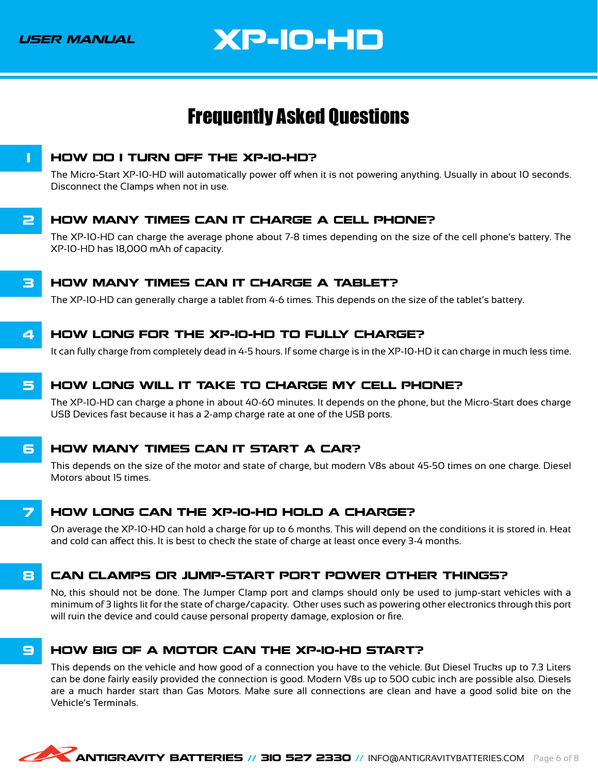## XP-10-HD

### <span id="page-9-0"></span>Frequently Asked Questions

<span id="page-9-1"></span>

#### **1 HOW DO I TURN OFF THE XP-10-HD?**

The Micro-Start XP-10-HD will automatically power off when it is not powering anything. Usually in about 10 seconds. Disconnect the Clamps when not in use.

#### **2 HOW MANY TIMES CAN IT CHARGE A CELL PHONE?**

The XP-10-HD can charge the average phone about 7-8 times depending on the size of the cell phone's battery. The XP-10-HD has 18,000 mAh of capacity.

#### **3 HOW MANY TIMES CAN IT CHARGE A TABLET?**

The XP-10-HD can generally charge a tablet from 4-6 times. This depends on the size of the tablet's battery.

#### 4 HOW LONG FOR THE XP-10-HD TO FULLY CHARGE?

It can fully charge from completely dead in 4-5 hours. If some charge is in the XP-10-HD it can charge in much less time.

#### 5 HOW LONG WILL IT TAKE TO CHARGE MY CELL PHONE?

The XP-10-HD can charge a phone in about 40-60 minutes. It depends on the phone, but the Micro-Start does charge USB Devices fast because it has a 2-amp charge rate at one of the USB ports.

#### **6 HOW MANY TIMES CAN IT START A CAR?**

This depends on the size of the motor and state of charge, but modern V8s about 45-50 times on one charge. Diesel Motors about 15 times.

#### 7 HOW LONG CAN THE XP-10-HD HOLD A CHARGE?

On average the XP-10-HD can hold a charge for up to 6 months. This will depend on the conditions it is stored in. Heat and cold can affect this. It is best to check the state of charge at least once every 3-4 months.

#### 8 CAN CLAMPS OR JUMP-START PORT POWER OTHER THINGS?

No, this should not be done. The Jumper Clamp port and clamps should only be used to jump-start vehicles with a minimum of 3 lights lit for the state of charge/capacity. Other uses such as powering other electronics through this port will ruin the device and could cause personal property damage, explosion or fire.

#### 9 HOW BIG OF A MOTOR CAN THE XP-10-HD START?

This depends on the vehicle and how good of a connection you have to the vehicle. But Diesel Trucks up to 7.3 Liters can be done fairly easily provided the connection is good. Modern V8s up to 500 cubic inch are possible also. Diesels are a much harder start than Gas Motors. Make sure all connections are clean and have a good solid bite on the Vehicle's Terminals.

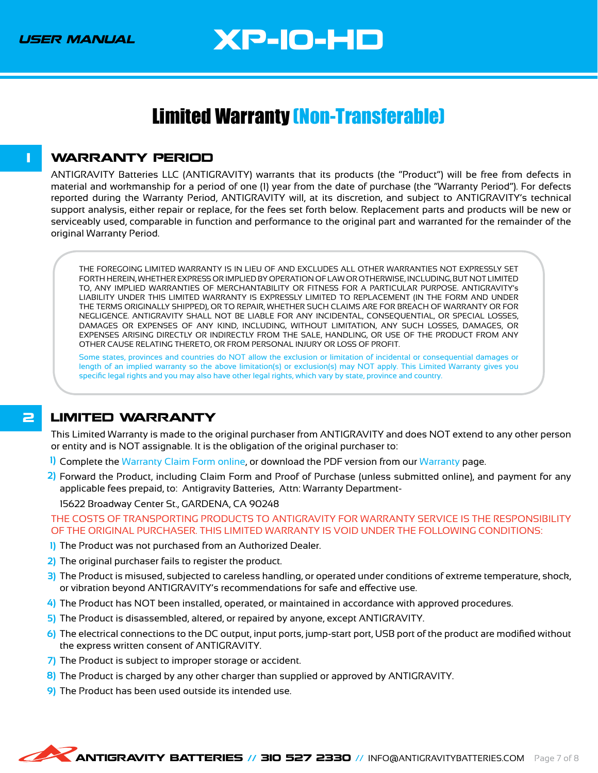# XP-10-HD

### <span id="page-10-0"></span>Limited Warranty (Non-Transferable)

#### <span id="page-10-1"></span>**1 WARRANTY PERIOD**

ANTIGRAVITY Batteries LLC (ANTIGRAVITY) warrants that its products (the "Product") will be free from defects in material and workmanship for a period of one (1) year from the date of purchase (the "Warranty Period"). For defects reported during the Warranty Period, ANTIGRAVITY will, at its discretion, and subject to ANTIGRAVITY's technical support analysis, either repair or replace, for the fees set forth below. Replacement parts and products will be new or serviceably used, comparable in function and performance to the original part and warranted for the remainder of the original Warranty Period.

THE FOREGOING LIMITED WARRANTY IS IN LIEU OF AND EXCLUDES ALL OTHER WARRANTIES NOT EXPRESSLY SET FORTH HEREIN, WHETHER EXPRESS OR IMPLIED BY OPERATION OF LAW OR OTHERWISE, INCLUDING, BUT NOT LIMITED TO, ANY IMPLIED WARRANTIES OF MERCHANTABILITY OR FITNESS FOR A PARTICULAR PURPOSE. ANTIGRAVITY's LIABILITY UNDER THIS LIMITED WARRANTY IS EXPRESSLY LIMITED TO REPLACEMENT (IN THE FORM AND UNDER THE TERMS ORIGINALLY SHIPPED), OR TO REPAIR, WHETHER SUCH CLAIMS ARE FOR BREACH OF WARRANTY OR FOR NEGLIGENCE. ANTIGRAVITY SHALL NOT BE LIABLE FOR ANY INCIDENTAL, CONSEQUENTIAL, OR SPECIAL LOSSES, DAMAGES OR EXPENSES OF ANY KIND, INCLUDING, WITHOUT LIMITATION, ANY SUCH LOSSES, DAMAGES, OR EXPENSES ARISING DIRECTLY OR INDIRECTLY FROM THE SALE, HANDLING, OR USE OF THE PRODUCT FROM ANY OTHER CAUSE RELATING THERETO, OR FROM PERSONAL INJURY OR LOSS OF PROFIT.

Some states, provinces and countries do NOT allow the exclusion or limitation of incidental or consequential damages or length of an implied warranty so the above limitation(s) or exclusion(s) may NOT apply. This Limited Warranty gives you specific legal rights and you may also have other legal rights, which vary by state, province and country.

#### **2 LIMITED WARRANTY**

This Limited Warranty is made to the original purchaser from ANTIGRAVITY and does NOT extend to any other person or entity and is NOT assignable. It is the obligation of the original purchaser to:

- Complete the [Warranty Claim Form online](https://shop.antigravitybatteries.com/warranty/claim-form/), or download the PDF version from our [Warranty](https://shop.antigravitybatteries.com/warranty/) page. **1)**
- Forward the Product, including Claim Form and Proof of Purchase (unless submitted online), and payment for any **2)** applicable fees prepaid, to: Antigravity Batteries, Attn: Warranty Department-

15622 Broadway Center St., GARDENA, CA 90248

THE COSTS OF TRANSPORTING PRODUCTS TO ANTIGRAVITY FOR WARRANTY SERVICE IS THE RESPONSIBILITY OF THE ORIGINAL PURCHASER. THIS LIMITED WARRANTY IS VOID UNDER THE FOLLOWING CONDITIONS:

- 1) The Product was not purchased from an Authorized Dealer.
- The original purchaser fails to register the product. **2)**
- 3) The Product is misused, subjected to careless handling, or operated under conditions of extreme temperature, shock, or vibration beyond ANTIGRAVITY's recommendations for safe and effective use.
- The Product has NOT been installed, operated, or maintained in accordance with approved procedures. **4)**
- 5) The Product is disassembled, altered, or repaired by anyone, except ANTIGRAVITY.
- The electrical connections to the DC output, input ports, jump-start port, USB port of the product are modified without **6)** the express written consent of ANTIGRAVITY.
- 7) The Product is subject to improper storage or accident.
- 8) The Product is charged by any other charger than supplied or approved by ANTIGRAVITY.
- The Product has been used outside its intended use. **9)**